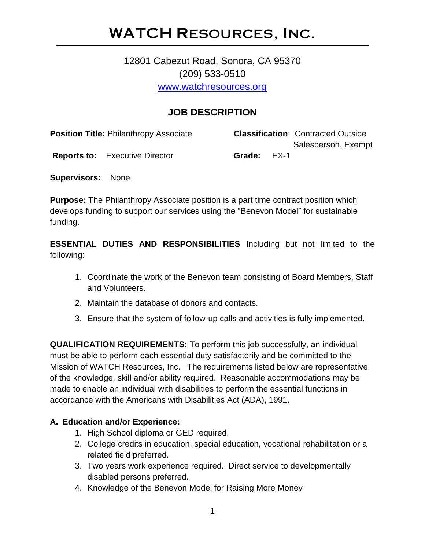## WATCH Resources, Inc.

## 12801 Cabezut Road, Sonora, CA 95370 (209) 533-0510 [www.watchresources.org](http://www.watchresources.org/)

### **JOB DESCRIPTION**

| <b>Position Title: Philanthropy Associate</b> |                                       |             |  | <b>Classification: Contracted Outside</b> |
|-----------------------------------------------|---------------------------------------|-------------|--|-------------------------------------------|
|                                               | <b>Reports to:</b> Executive Director | Grade: EX-1 |  | Salesperson, Exempt                       |

**Supervisors:** None

**Purpose:** The Philanthropy Associate position is a part time contract position which develops funding to support our services using the "Benevon Model" for sustainable funding.

**ESSENTIAL DUTIES AND RESPONSIBILITIES** Including but not limited to the following:

- 1. Coordinate the work of the Benevon team consisting of Board Members, Staff and Volunteers.
- 2. Maintain the database of donors and contacts.
- 3. Ensure that the system of follow-up calls and activities is fully implemented.

**QUALIFICATION REQUIREMENTS:** To perform this job successfully, an individual must be able to perform each essential duty satisfactorily and be committed to the Mission of WATCH Resources, Inc. The requirements listed below are representative of the knowledge, skill and/or ability required. Reasonable accommodations may be made to enable an individual with disabilities to perform the essential functions in accordance with the Americans with Disabilities Act (ADA), 1991.

#### **A. Education and/or Experience:**

- 1. High School diploma or GED required.
- 2. College credits in education, special education, vocational rehabilitation or a related field preferred.
- 3. Two years work experience required. Direct service to developmentally disabled persons preferred.
- 4. Knowledge of the Benevon Model for Raising More Money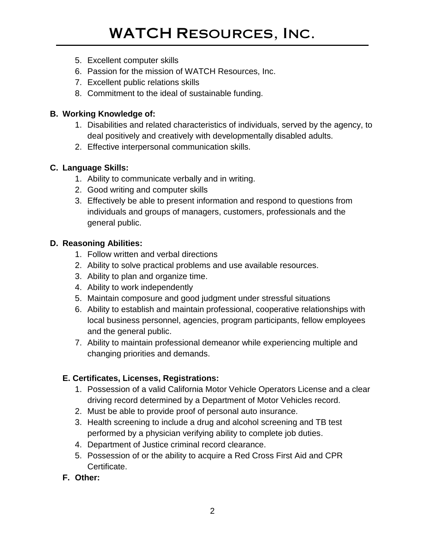- 5. Excellent computer skills
- 6. Passion for the mission of WATCH Resources, Inc.
- 7. Excellent public relations skills
- 8. Commitment to the ideal of sustainable funding.

#### **B. Working Knowledge of:**

- 1. Disabilities and related characteristics of individuals, served by the agency, to deal positively and creatively with developmentally disabled adults.
- 2. Effective interpersonal communication skills.

#### **C. Language Skills:**

- 1. Ability to communicate verbally and in writing.
- 2. Good writing and computer skills
- 3. Effectively be able to present information and respond to questions from individuals and groups of managers, customers, professionals and the general public.

#### **D. Reasoning Abilities:**

- 1. Follow written and verbal directions
- 2. Ability to solve practical problems and use available resources.
- 3. Ability to plan and organize time.
- 4. Ability to work independently
- 5. Maintain composure and good judgment under stressful situations
- 6. Ability to establish and maintain professional, cooperative relationships with local business personnel, agencies, program participants, fellow employees and the general public.
- 7. Ability to maintain professional demeanor while experiencing multiple and changing priorities and demands.

#### **E. Certificates, Licenses, Registrations:**

- 1. Possession of a valid California Motor Vehicle Operators License and a clear driving record determined by a Department of Motor Vehicles record.
- 2. Must be able to provide proof of personal auto insurance.
- 3. Health screening to include a drug and alcohol screening and TB test performed by a physician verifying ability to complete job duties.
- 4. Department of Justice criminal record clearance.
- 5. Possession of or the ability to acquire a Red Cross First Aid and CPR Certificate.
- **F. Other:**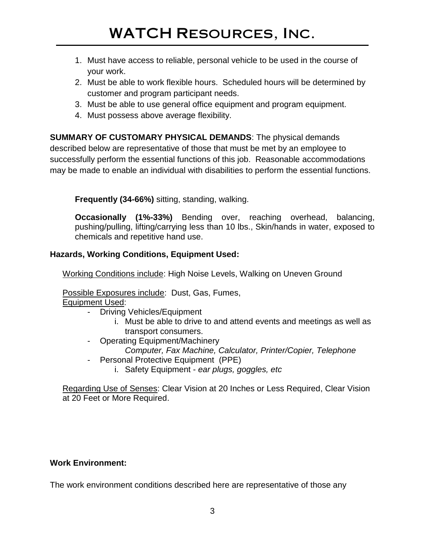- 1. Must have access to reliable, personal vehicle to be used in the course of your work.
- 2. Must be able to work flexible hours. Scheduled hours will be determined by customer and program participant needs.
- 3. Must be able to use general office equipment and program equipment.
- 4. Must possess above average flexibility.

**SUMMARY OF CUSTOMARY PHYSICAL DEMANDS**: The physical demands described below are representative of those that must be met by an employee to successfully perform the essential functions of this job. Reasonable accommodations may be made to enable an individual with disabilities to perform the essential functions.

**Frequently (34-66%)** sitting, standing, walking.

**Occasionally (1%-33%)** Bending over, reaching overhead, balancing, pushing/pulling, lifting/carrying less than 10 lbs., Skin/hands in water, exposed to chemicals and repetitive hand use.

#### **Hazards, Working Conditions, Equipment Used:**

Working Conditions include: High Noise Levels, Walking on Uneven Ground

Possible Exposures include: Dust, Gas, Fumes, Equipment Used:

- Driving Vehicles/Equipment
	- i. Must be able to drive to and attend events and meetings as well as transport consumers.
- Operating Equipment/Machinery *Computer, Fax Machine, Calculator, Printer/Copier, Telephone*
- Personal Protective Equipment (PPE)
	- i. Safety Equipment *ear plugs, goggles, etc*

Regarding Use of Senses: Clear Vision at 20 Inches or Less Required, Clear Vision at 20 Feet or More Required.

#### **Work Environment:**

The work environment conditions described here are representative of those any